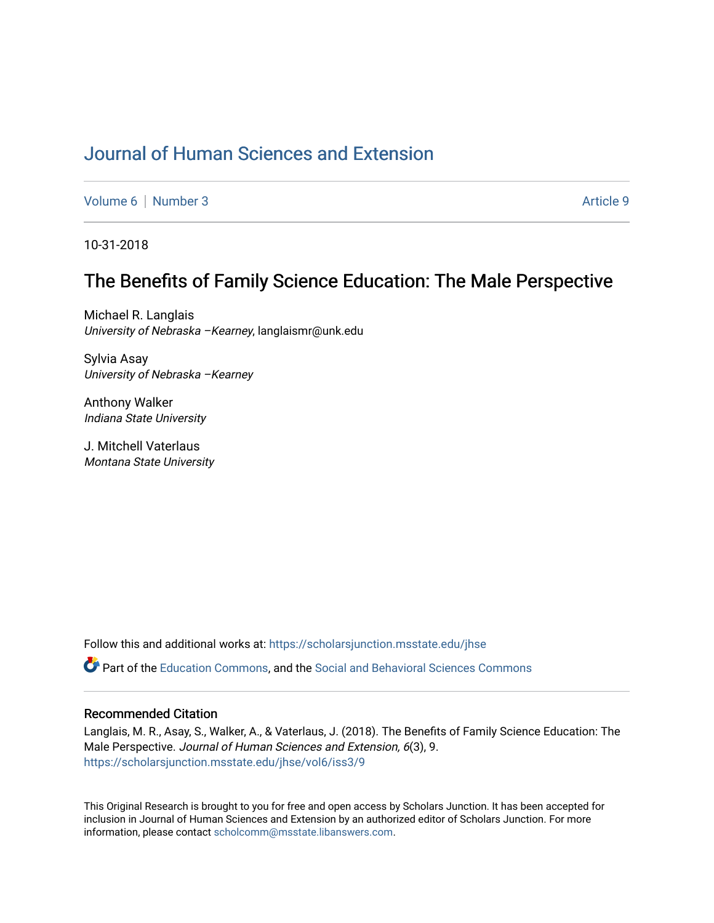# [Journal of Human Sciences and Extension](https://scholarsjunction.msstate.edu/jhse)

[Volume 6](https://scholarsjunction.msstate.edu/jhse/vol6) | [Number 3](https://scholarsjunction.msstate.edu/jhse/vol6/iss3) Article 9

10-31-2018

# The Benefits of Family Science Education: The Male Perspective

Michael R. Langlais University of Nebraska - Kearney, langlaismr@unk.edu

Sylvia Asay University of Nebraska –Kearney

Anthony Walker Indiana State University

J. Mitchell Vaterlaus Montana State University

Follow this and additional works at: [https://scholarsjunction.msstate.edu/jhse](https://scholarsjunction.msstate.edu/jhse?utm_source=scholarsjunction.msstate.edu%2Fjhse%2Fvol6%2Fiss3%2F9&utm_medium=PDF&utm_campaign=PDFCoverPages)

Part of the [Education Commons](http://network.bepress.com/hgg/discipline/784?utm_source=scholarsjunction.msstate.edu%2Fjhse%2Fvol6%2Fiss3%2F9&utm_medium=PDF&utm_campaign=PDFCoverPages), and the [Social and Behavioral Sciences Commons](http://network.bepress.com/hgg/discipline/316?utm_source=scholarsjunction.msstate.edu%2Fjhse%2Fvol6%2Fiss3%2F9&utm_medium=PDF&utm_campaign=PDFCoverPages) 

#### Recommended Citation

Langlais, M. R., Asay, S., Walker, A., & Vaterlaus, J. (2018). The Benefits of Family Science Education: The Male Perspective. Journal of Human Sciences and Extension, 6(3), 9. [https://scholarsjunction.msstate.edu/jhse/vol6/iss3/9](https://scholarsjunction.msstate.edu/jhse/vol6/iss3/9?utm_source=scholarsjunction.msstate.edu%2Fjhse%2Fvol6%2Fiss3%2F9&utm_medium=PDF&utm_campaign=PDFCoverPages)

This Original Research is brought to you for free and open access by Scholars Junction. It has been accepted for inclusion in Journal of Human Sciences and Extension by an authorized editor of Scholars Junction. For more information, please contact [scholcomm@msstate.libanswers.com](mailto:scholcomm@msstate.libanswers.com).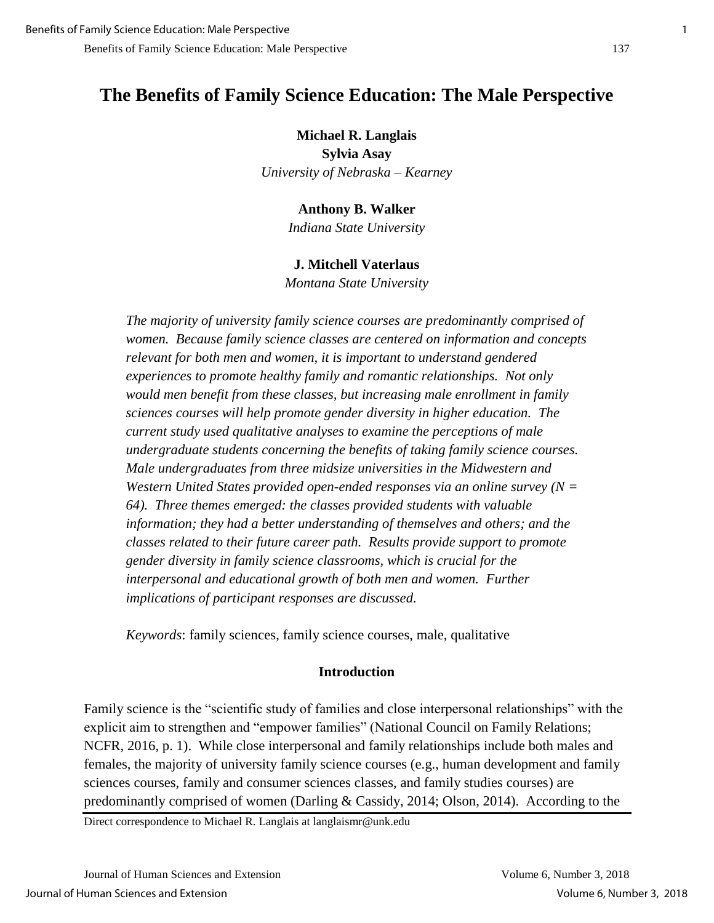### **Michael R. Langlais**

**Sylvia Asay** *University of Nebraska – Kearney*

### **Anthony B. Walker**

*Indiana State University* 

### **J. Mitchell Vaterlaus**

*Montana State University*

*The majority of university family science courses are predominantly comprised of women. Because family science classes are centered on information and concepts relevant for both men and women, it is important to understand gendered experiences to promote healthy family and romantic relationships. Not only would men benefit from these classes, but increasing male enrollment in family sciences courses will help promote gender diversity in higher education. The current study used qualitative analyses to examine the perceptions of male undergraduate students concerning the benefits of taking family science courses. Male undergraduates from three midsize universities in the Midwestern and Western United States provided open-ended responses via an online survey (N = 64). Three themes emerged: the classes provided students with valuable information; they had a better understanding of themselves and others; and the classes related to their future career path. Results provide support to promote gender diversity in family science classrooms, which is crucial for the interpersonal and educational growth of both men and women. Further implications of participant responses are discussed.* 

*Keywords*: family sciences, family science courses, male, qualitative

# **Introduction**

Family science is the "scientific study of families and close interpersonal relationships" with the explicit aim to strengthen and "empower families" (National Council on Family Relations; NCFR, 2016, p. 1). While close interpersonal and family relationships include both males and females, the majority of university family science courses (e.g., human development and family sciences courses, family and consumer sciences classes, and family studies courses) are predominantly comprised of women (Darling & Cassidy, 2014; Olson, 2014). According to the

Direct correspondence to Michael R. Langlais at langlaismr@unk.edu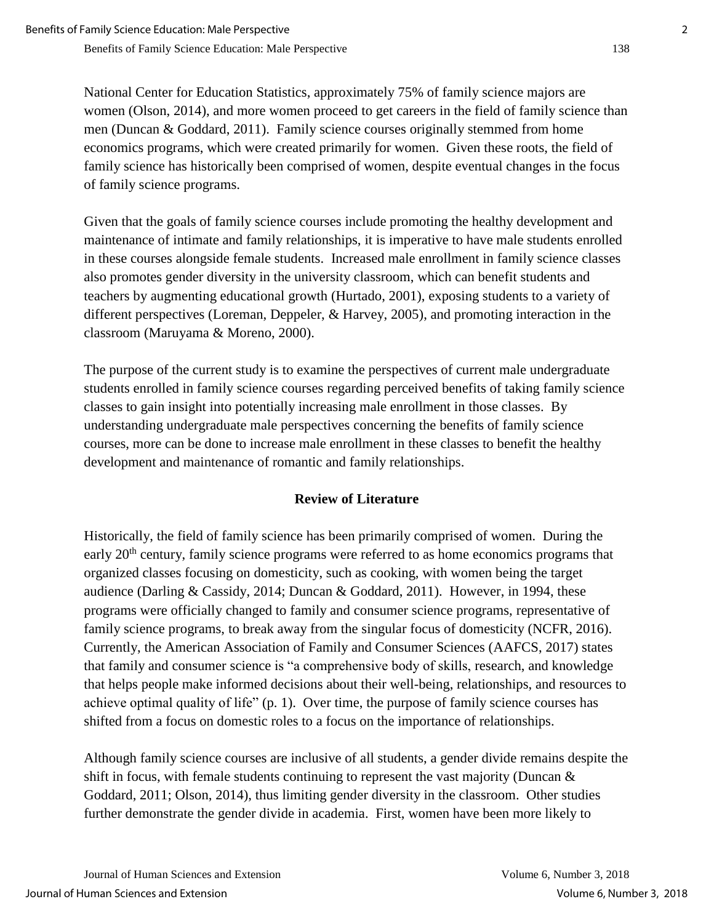National Center for Education Statistics, approximately 75% of family science majors are women (Olson, 2014), and more women proceed to get careers in the field of family science than men (Duncan & Goddard, 2011). Family science courses originally stemmed from home economics programs, which were created primarily for women. Given these roots, the field of family science has historically been comprised of women, despite eventual changes in the focus of family science programs.

Given that the goals of family science courses include promoting the healthy development and maintenance of intimate and family relationships, it is imperative to have male students enrolled in these courses alongside female students. Increased male enrollment in family science classes also promotes gender diversity in the university classroom, which can benefit students and teachers by augmenting educational growth (Hurtado, 2001), exposing students to a variety of different perspectives (Loreman, Deppeler, & Harvey, 2005), and promoting interaction in the classroom (Maruyama & Moreno, 2000).

The purpose of the current study is to examine the perspectives of current male undergraduate students enrolled in family science courses regarding perceived benefits of taking family science classes to gain insight into potentially increasing male enrollment in those classes. By understanding undergraduate male perspectives concerning the benefits of family science courses, more can be done to increase male enrollment in these classes to benefit the healthy development and maintenance of romantic and family relationships.

# **Review of Literature**

Historically, the field of family science has been primarily comprised of women. During the early 20<sup>th</sup> century, family science programs were referred to as home economics programs that organized classes focusing on domesticity, such as cooking, with women being the target audience (Darling & Cassidy, 2014; Duncan & Goddard, 2011). However, in 1994, these programs were officially changed to family and consumer science programs, representative of family science programs, to break away from the singular focus of domesticity (NCFR, 2016). Currently, the American Association of Family and Consumer Sciences (AAFCS, 2017) states that family and consumer science is "a comprehensive body of skills, research, and knowledge that helps people make informed decisions about their well-being, relationships, and resources to achieve optimal quality of life" (p. 1). Over time, the purpose of family science courses has shifted from a focus on domestic roles to a focus on the importance of relationships.

Although family science courses are inclusive of all students, a gender divide remains despite the shift in focus, with female students continuing to represent the vast majority (Duncan  $\&$ Goddard, 2011; Olson, 2014), thus limiting gender diversity in the classroom. Other studies further demonstrate the gender divide in academia. First, women have been more likely to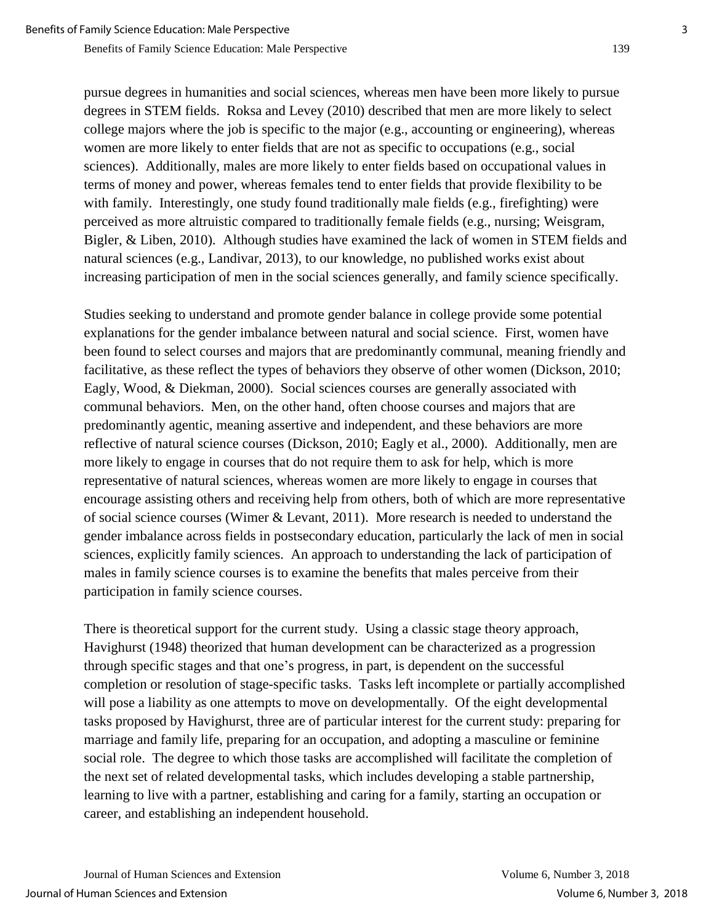pursue degrees in humanities and social sciences, whereas men have been more likely to pursue degrees in STEM fields. Roksa and Levey (2010) described that men are more likely to select college majors where the job is specific to the major (e.g., accounting or engineering), whereas women are more likely to enter fields that are not as specific to occupations (e.g., social sciences). Additionally, males are more likely to enter fields based on occupational values in terms of money and power, whereas females tend to enter fields that provide flexibility to be with family. Interestingly, one study found traditionally male fields (e.g., firefighting) were perceived as more altruistic compared to traditionally female fields (e.g., nursing; Weisgram, Bigler, & Liben, 2010). Although studies have examined the lack of women in STEM fields and natural sciences (e.g., Landivar, 2013), to our knowledge, no published works exist about increasing participation of men in the social sciences generally, and family science specifically.

Studies seeking to understand and promote gender balance in college provide some potential explanations for the gender imbalance between natural and social science. First, women have been found to select courses and majors that are predominantly communal, meaning friendly and facilitative, as these reflect the types of behaviors they observe of other women (Dickson, 2010; Eagly, Wood, & Diekman, 2000). Social sciences courses are generally associated with communal behaviors. Men, on the other hand, often choose courses and majors that are predominantly agentic, meaning assertive and independent, and these behaviors are more reflective of natural science courses (Dickson, 2010; Eagly et al., 2000). Additionally, men are more likely to engage in courses that do not require them to ask for help, which is more representative of natural sciences, whereas women are more likely to engage in courses that encourage assisting others and receiving help from others, both of which are more representative of social science courses (Wimer & Levant, 2011). More research is needed to understand the gender imbalance across fields in postsecondary education, particularly the lack of men in social sciences, explicitly family sciences. An approach to understanding the lack of participation of males in family science courses is to examine the benefits that males perceive from their participation in family science courses.

There is theoretical support for the current study. Using a classic stage theory approach, Havighurst (1948) theorized that human development can be characterized as a progression through specific stages and that one's progress, in part, is dependent on the successful completion or resolution of stage-specific tasks. Tasks left incomplete or partially accomplished will pose a liability as one attempts to move on developmentally. Of the eight developmental tasks proposed by Havighurst, three are of particular interest for the current study: preparing for marriage and family life, preparing for an occupation, and adopting a masculine or feminine social role. The degree to which those tasks are accomplished will facilitate the completion of the next set of related developmental tasks, which includes developing a stable partnership, learning to live with a partner, establishing and caring for a family, starting an occupation or career, and establishing an independent household.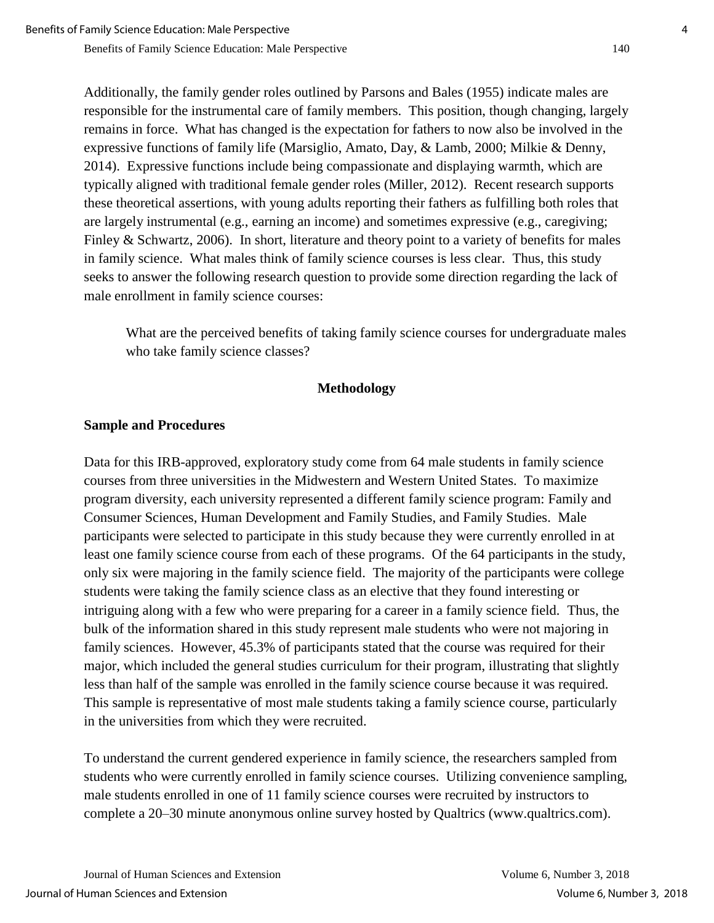Additionally, the family gender roles outlined by Parsons and Bales (1955) indicate males are responsible for the instrumental care of family members. This position, though changing, largely remains in force. What has changed is the expectation for fathers to now also be involved in the expressive functions of family life (Marsiglio, Amato, Day, & Lamb, 2000; Milkie & Denny, 2014). Expressive functions include being compassionate and displaying warmth, which are typically aligned with traditional female gender roles (Miller, 2012). Recent research supports these theoretical assertions, with young adults reporting their fathers as fulfilling both roles that are largely instrumental (e.g., earning an income) and sometimes expressive (e.g., caregiving; Finley & Schwartz, 2006). In short, literature and theory point to a variety of benefits for males in family science. What males think of family science courses is less clear. Thus, this study seeks to answer the following research question to provide some direction regarding the lack of male enrollment in family science courses:

What are the perceived benefits of taking family science courses for undergraduate males who take family science classes?

### **Methodology**

### **Sample and Procedures**

Data for this IRB-approved, exploratory study come from 64 male students in family science courses from three universities in the Midwestern and Western United States. To maximize program diversity, each university represented a different family science program: Family and Consumer Sciences, Human Development and Family Studies, and Family Studies. Male participants were selected to participate in this study because they were currently enrolled in at least one family science course from each of these programs. Of the 64 participants in the study, only six were majoring in the family science field. The majority of the participants were college students were taking the family science class as an elective that they found interesting or intriguing along with a few who were preparing for a career in a family science field. Thus, the bulk of the information shared in this study represent male students who were not majoring in family sciences. However, 45.3% of participants stated that the course was required for their major, which included the general studies curriculum for their program, illustrating that slightly less than half of the sample was enrolled in the family science course because it was required. This sample is representative of most male students taking a family science course, particularly in the universities from which they were recruited.

To understand the current gendered experience in family science, the researchers sampled from students who were currently enrolled in family science courses. Utilizing convenience sampling, male students enrolled in one of 11 family science courses were recruited by instructors to complete a 20–30 minute anonymous online survey hosted by Qualtrics (www.qualtrics.com).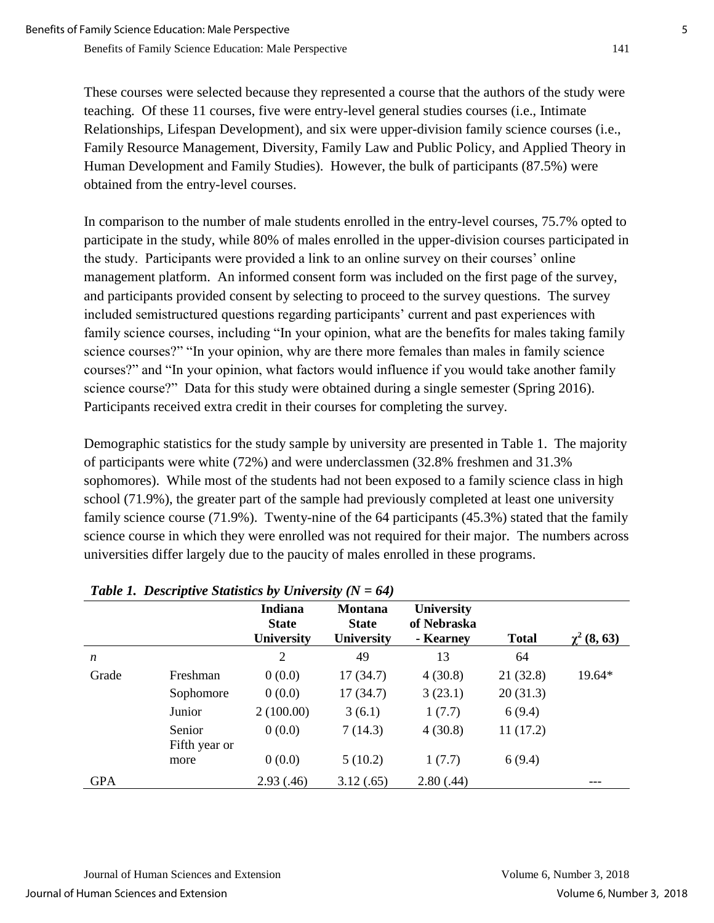These courses were selected because they represented a course that the authors of the study were teaching. Of these 11 courses, five were entry-level general studies courses (i.e., Intimate Relationships, Lifespan Development), and six were upper-division family science courses (i.e., Family Resource Management, Diversity, Family Law and Public Policy, and Applied Theory in Human Development and Family Studies). However, the bulk of participants (87.5%) were obtained from the entry-level courses.

In comparison to the number of male students enrolled in the entry-level courses, 75.7% opted to participate in the study, while 80% of males enrolled in the upper-division courses participated in the study. Participants were provided a link to an online survey on their courses' online management platform. An informed consent form was included on the first page of the survey, and participants provided consent by selecting to proceed to the survey questions. The survey included semistructured questions regarding participants' current and past experiences with family science courses, including "In your opinion, what are the benefits for males taking family science courses?" "In your opinion, why are there more females than males in family science courses?" and "In your opinion, what factors would influence if you would take another family science course?" Data for this study were obtained during a single semester (Spring 2016). Participants received extra credit in their courses for completing the survey.

Demographic statistics for the study sample by university are presented in Table 1. The majority of participants were white (72%) and were underclassmen (32.8% freshmen and 31.3% sophomores). While most of the students had not been exposed to a family science class in high school (71.9%), the greater part of the sample had previously completed at least one university family science course (71.9%). Twenty-nine of the 64 participants (45.3%) stated that the family science course in which they were enrolled was not required for their major. The numbers across universities differ largely due to the paucity of males enrolled in these programs.

|            |                         | <b>Indiana</b><br><b>State</b><br>University | Montana<br><b>State</b><br>University | <b>University</b><br>of Nebraska<br>- Kearney | <b>Total</b> | $\chi^2$ (8, 63) |
|------------|-------------------------|----------------------------------------------|---------------------------------------|-----------------------------------------------|--------------|------------------|
| n          |                         | 2                                            | 49                                    | 13                                            | 64           |                  |
| Grade      | Freshman                | 0(0.0)                                       | 17(34.7)                              | 4(30.8)                                       | 21(32.8)     | 19.64*           |
|            | Sophomore               | 0(0.0)                                       | 17(34.7)                              | 3(23.1)                                       | 20(31.3)     |                  |
|            | Junior                  | 2(100.00)                                    | 3(6.1)                                | 1(7.7)                                        | 6(9.4)       |                  |
|            | Senior<br>Fifth year or | 0(0.0)                                       | 7(14.3)                               | 4(30.8)                                       | 11(17.2)     |                  |
|            | more                    | 0(0.0)                                       | 5(10.2)                               | 1(7.7)                                        | 6(9.4)       |                  |
| <b>GPA</b> |                         | 2.93(0.46)                                   | 3.12(.65)                             | 2.80(.44)                                     |              |                  |

# *Table 1. Descriptive Statistics by University (N = 64)*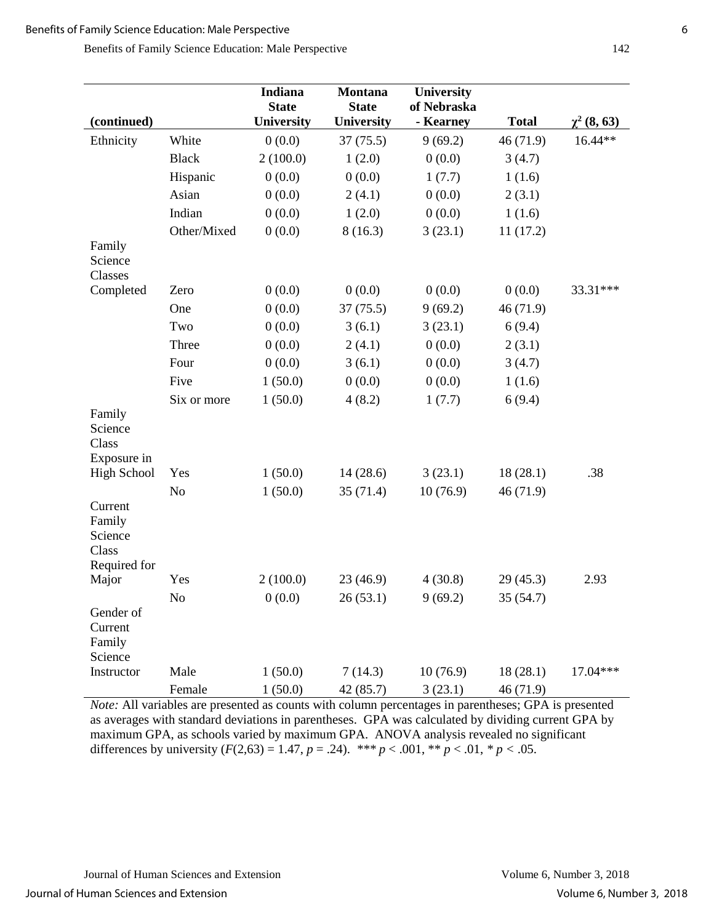Benefits of Family Science Education: Male Perspective 142

| (continued)                                           |                | Indiana<br><b>State</b> | <b>Montana</b><br><b>State</b> | University<br>of Nebraska | <b>Total</b> |                            |
|-------------------------------------------------------|----------------|-------------------------|--------------------------------|---------------------------|--------------|----------------------------|
|                                                       |                | University              | University                     | - Kearney                 |              | $\chi^2(8, 63)$<br>16.44** |
| Ethnicity                                             | White          | 0(0.0)                  | 37(75.5)                       | 9(69.2)                   | 46 (71.9)    |                            |
|                                                       | <b>Black</b>   | 2(100.0)                | 1(2.0)                         | 0(0.0)                    | 3(4.7)       |                            |
|                                                       | Hispanic       | 0(0.0)                  | 0(0.0)                         | 1(7.7)                    | 1(1.6)       |                            |
|                                                       | Asian          | 0(0.0)                  | 2(4.1)                         | 0(0.0)                    | 2(3.1)       |                            |
|                                                       | Indian         | 0(0.0)                  | 1(2.0)                         | 0(0.0)                    | 1(1.6)       |                            |
|                                                       | Other/Mixed    | 0(0.0)                  | 8(16.3)                        | 3(23.1)                   | 11(17.2)     |                            |
| Family<br>Science<br>Classes                          |                |                         |                                |                           |              |                            |
| Completed                                             | Zero           | 0(0.0)                  | 0(0.0)                         | 0(0.0)                    | 0(0.0)       | 33.31***                   |
|                                                       | One            | 0(0.0)                  | 37(75.5)                       | 9(69.2)                   | 46 (71.9)    |                            |
|                                                       | Two            | 0(0.0)                  | 3(6.1)                         | 3(23.1)                   | 6(9.4)       |                            |
|                                                       | Three          | 0(0.0)                  | 2(4.1)                         | 0(0.0)                    | 2(3.1)       |                            |
|                                                       | Four           | 0(0.0)                  | 3(6.1)                         | 0(0.0)                    | 3(4.7)       |                            |
|                                                       | Five           | 1(50.0)                 | 0(0.0)                         | 0(0.0)                    | 1(1.6)       |                            |
|                                                       | Six or more    | 1(50.0)                 | 4(8.2)                         | 1(7.7)                    | 6(9.4)       |                            |
| Family<br>Science<br>Class<br>Exposure in             |                |                         |                                |                           |              |                            |
| <b>High School</b>                                    | Yes            | 1(50.0)                 | 14(28.6)                       | 3(23.1)                   | 18(28.1)     | .38                        |
|                                                       | N <sub>o</sub> | 1(50.0)                 | 35(71.4)                       | 10(76.9)                  | 46 (71.9)    |                            |
| Current<br>Family<br>Science<br>Class<br>Required for |                |                         |                                |                           |              |                            |
| Major                                                 | Yes            | 2(100.0)                | 23 (46.9)                      | 4(30.8)                   | 29(45.3)     | 2.93                       |
| Gender of<br>Current<br>Family<br>Science             | No             | 0(0.0)                  | 26(53.1)                       | 9(69.2)                   | 35 (54.7)    |                            |
| Instructor                                            | Male           | 1(50.0)                 | 7(14.3)                        | 10(76.9)                  | 18(28.1)     | 17.04***                   |
|                                                       | Female         | 1(50.0)                 | 42 (85.7)                      | 3(23.1)                   | 46 (71.9)    |                            |

*Note:* All variables are presented as counts with column percentages in parentheses; GPA is presented as averages with standard deviations in parentheses. GPA was calculated by dividing current GPA by maximum GPA, as schools varied by maximum GPA. ANOVA analysis revealed no significant differences by university  $(F(2,63) = 1.47, p = .24)$ . \*\*\*  $p < .001$ , \*\*  $p < .01$ , \*  $p < .05$ .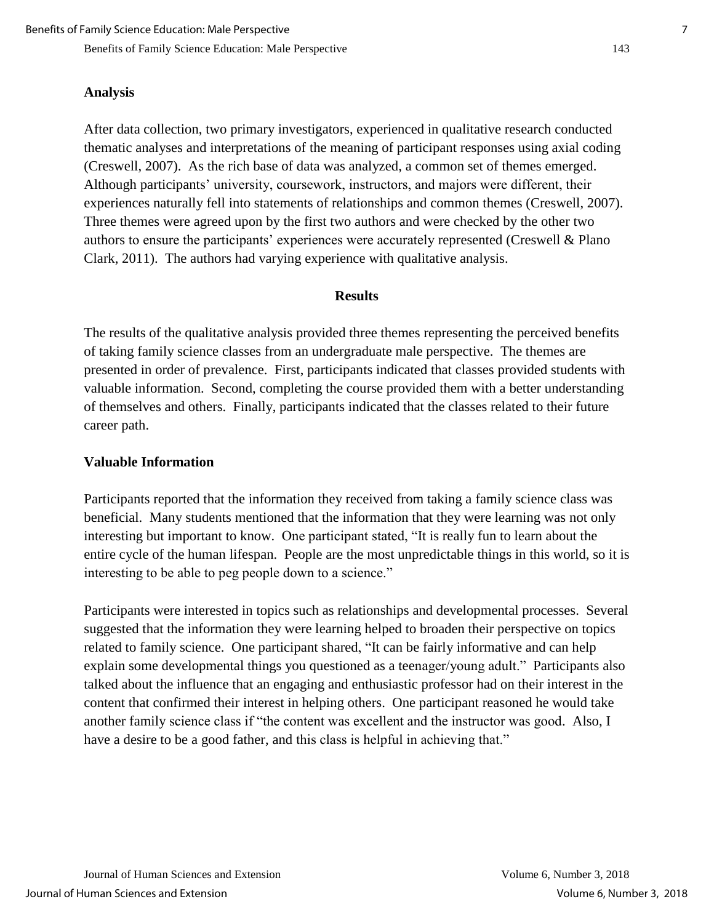#### **Analysis**

After data collection, two primary investigators, experienced in qualitative research conducted thematic analyses and interpretations of the meaning of participant responses using axial coding (Creswell, 2007). As the rich base of data was analyzed, a common set of themes emerged. Although participants' university, coursework, instructors, and majors were different, their experiences naturally fell into statements of relationships and common themes (Creswell, 2007). Three themes were agreed upon by the first two authors and were checked by the other two authors to ensure the participants' experiences were accurately represented (Creswell & Plano Clark, 2011). The authors had varying experience with qualitative analysis.

#### **Results**

The results of the qualitative analysis provided three themes representing the perceived benefits of taking family science classes from an undergraduate male perspective. The themes are presented in order of prevalence. First, participants indicated that classes provided students with valuable information. Second, completing the course provided them with a better understanding of themselves and others. Finally, participants indicated that the classes related to their future career path.

#### **Valuable Information**

Participants reported that the information they received from taking a family science class was beneficial. Many students mentioned that the information that they were learning was not only interesting but important to know. One participant stated, "It is really fun to learn about the entire cycle of the human lifespan. People are the most unpredictable things in this world, so it is interesting to be able to peg people down to a science."

Participants were interested in topics such as relationships and developmental processes. Several suggested that the information they were learning helped to broaden their perspective on topics related to family science. One participant shared, "It can be fairly informative and can help explain some developmental things you questioned as a teenager/young adult." Participants also talked about the influence that an engaging and enthusiastic professor had on their interest in the content that confirmed their interest in helping others. One participant reasoned he would take another family science class if "the content was excellent and the instructor was good. Also, I have a desire to be a good father, and this class is helpful in achieving that."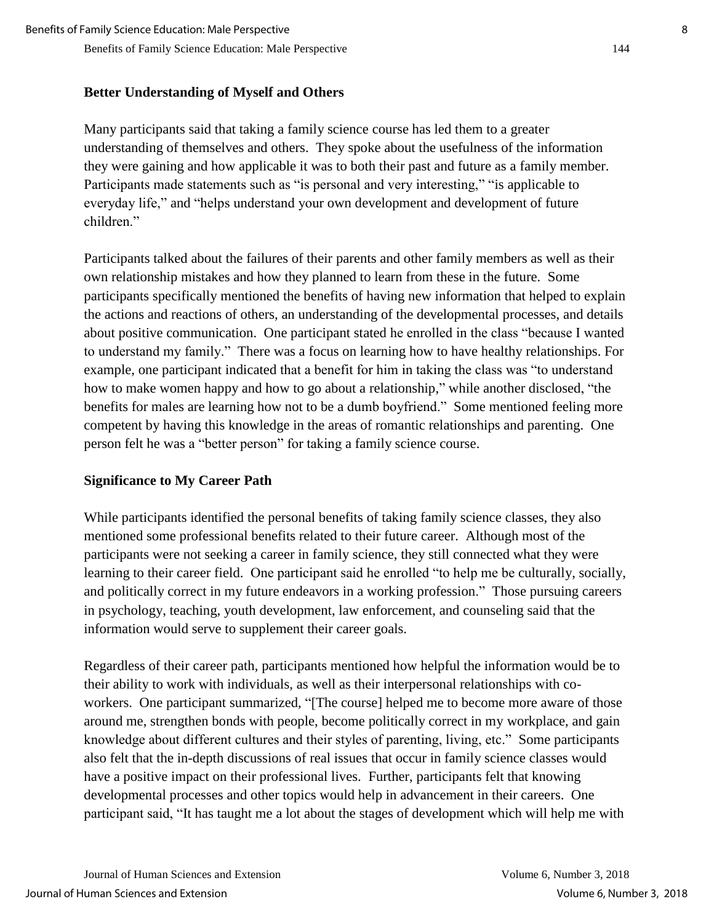### **Better Understanding of Myself and Others**

Many participants said that taking a family science course has led them to a greater understanding of themselves and others. They spoke about the usefulness of the information they were gaining and how applicable it was to both their past and future as a family member. Participants made statements such as "is personal and very interesting," "is applicable to everyday life," and "helps understand your own development and development of future children."

Participants talked about the failures of their parents and other family members as well as their own relationship mistakes and how they planned to learn from these in the future. Some participants specifically mentioned the benefits of having new information that helped to explain the actions and reactions of others, an understanding of the developmental processes, and details about positive communication. One participant stated he enrolled in the class "because I wanted to understand my family." There was a focus on learning how to have healthy relationships. For example, one participant indicated that a benefit for him in taking the class was "to understand how to make women happy and how to go about a relationship," while another disclosed, "the benefits for males are learning how not to be a dumb boyfriend." Some mentioned feeling more competent by having this knowledge in the areas of romantic relationships and parenting. One person felt he was a "better person" for taking a family science course.

# **Significance to My Career Path**

While participants identified the personal benefits of taking family science classes, they also mentioned some professional benefits related to their future career. Although most of the participants were not seeking a career in family science, they still connected what they were learning to their career field. One participant said he enrolled "to help me be culturally, socially, and politically correct in my future endeavors in a working profession." Those pursuing careers in psychology, teaching, youth development, law enforcement, and counseling said that the information would serve to supplement their career goals.

Regardless of their career path, participants mentioned how helpful the information would be to their ability to work with individuals, as well as their interpersonal relationships with coworkers. One participant summarized, "[The course] helped me to become more aware of those around me, strengthen bonds with people, become politically correct in my workplace, and gain knowledge about different cultures and their styles of parenting, living, etc." Some participants also felt that the in-depth discussions of real issues that occur in family science classes would have a positive impact on their professional lives. Further, participants felt that knowing developmental processes and other topics would help in advancement in their careers. One participant said, "It has taught me a lot about the stages of development which will help me with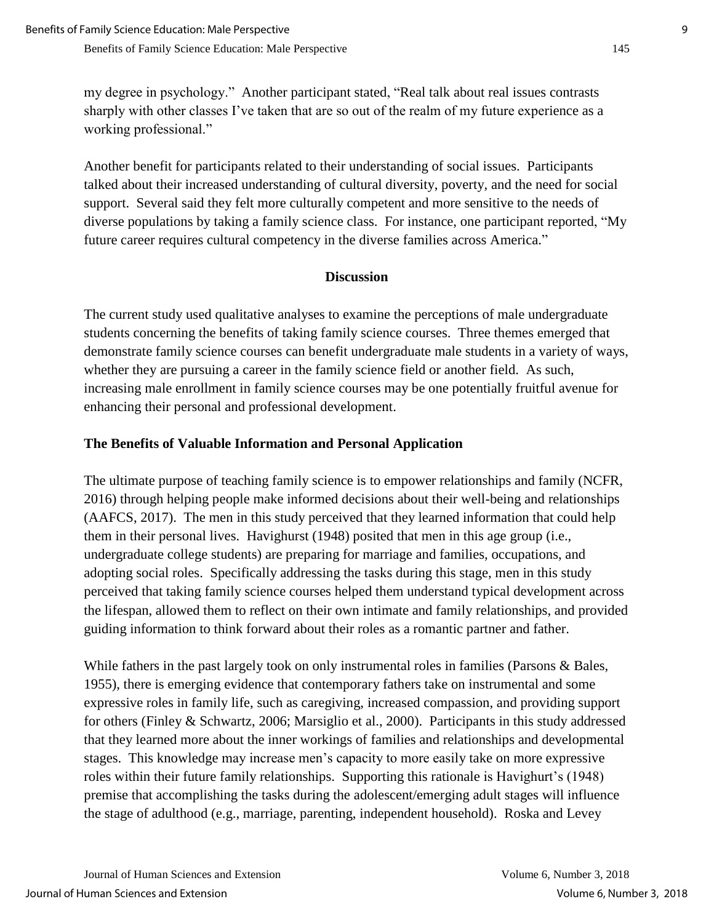my degree in psychology." Another participant stated, "Real talk about real issues contrasts sharply with other classes I've taken that are so out of the realm of my future experience as a working professional."

Another benefit for participants related to their understanding of social issues. Participants talked about their increased understanding of cultural diversity, poverty, and the need for social support. Several said they felt more culturally competent and more sensitive to the needs of diverse populations by taking a family science class. For instance, one participant reported, "My future career requires cultural competency in the diverse families across America."

### **Discussion**

The current study used qualitative analyses to examine the perceptions of male undergraduate students concerning the benefits of taking family science courses. Three themes emerged that demonstrate family science courses can benefit undergraduate male students in a variety of ways, whether they are pursuing a career in the family science field or another field. As such, increasing male enrollment in family science courses may be one potentially fruitful avenue for enhancing their personal and professional development.

# **The Benefits of Valuable Information and Personal Application**

The ultimate purpose of teaching family science is to empower relationships and family (NCFR, 2016) through helping people make informed decisions about their well-being and relationships (AAFCS, 2017). The men in this study perceived that they learned information that could help them in their personal lives. Havighurst (1948) posited that men in this age group (i.e., undergraduate college students) are preparing for marriage and families, occupations, and adopting social roles. Specifically addressing the tasks during this stage, men in this study perceived that taking family science courses helped them understand typical development across the lifespan, allowed them to reflect on their own intimate and family relationships, and provided guiding information to think forward about their roles as a romantic partner and father.

While fathers in the past largely took on only instrumental roles in families (Parsons & Bales, 1955), there is emerging evidence that contemporary fathers take on instrumental and some expressive roles in family life, such as caregiving, increased compassion, and providing support for others (Finley & Schwartz, 2006; Marsiglio et al., 2000). Participants in this study addressed that they learned more about the inner workings of families and relationships and developmental stages. This knowledge may increase men's capacity to more easily take on more expressive roles within their future family relationships. Supporting this rationale is Havighurt's (1948) premise that accomplishing the tasks during the adolescent/emerging adult stages will influence the stage of adulthood (e.g., marriage, parenting, independent household). Roska and Levey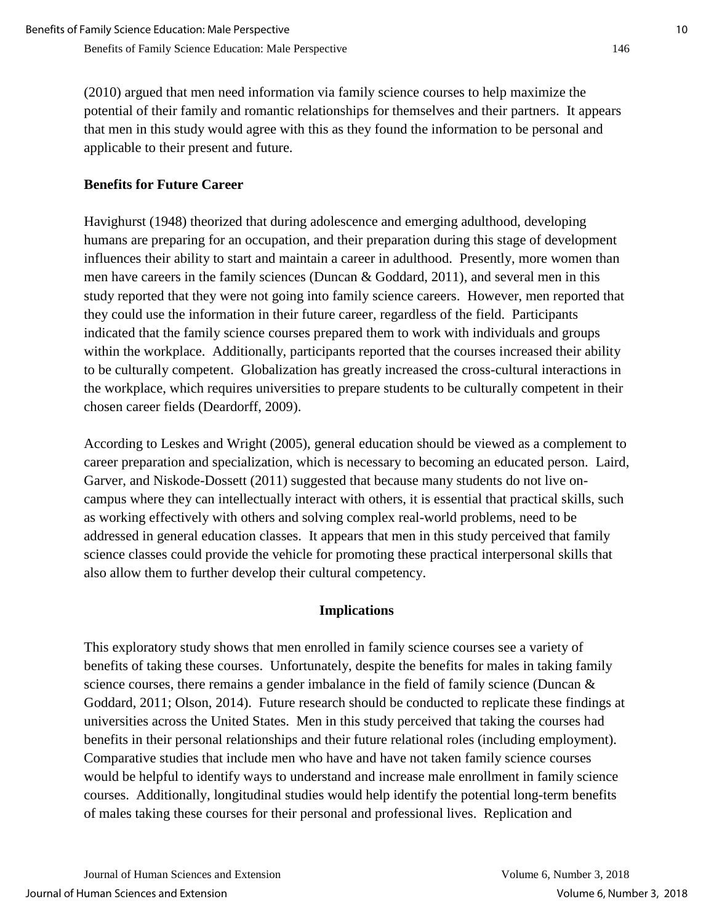(2010) argued that men need information via family science courses to help maximize the potential of their family and romantic relationships for themselves and their partners. It appears that men in this study would agree with this as they found the information to be personal and applicable to their present and future.

# **Benefits for Future Career**

Havighurst (1948) theorized that during adolescence and emerging adulthood, developing humans are preparing for an occupation, and their preparation during this stage of development influences their ability to start and maintain a career in adulthood. Presently, more women than men have careers in the family sciences (Duncan & Goddard, 2011), and several men in this study reported that they were not going into family science careers. However, men reported that they could use the information in their future career, regardless of the field. Participants indicated that the family science courses prepared them to work with individuals and groups within the workplace. Additionally, participants reported that the courses increased their ability to be culturally competent. Globalization has greatly increased the cross-cultural interactions in the workplace, which requires universities to prepare students to be culturally competent in their chosen career fields (Deardorff, 2009).

According to Leskes and Wright (2005), general education should be viewed as a complement to career preparation and specialization, which is necessary to becoming an educated person. Laird, Garver, and Niskode-Dossett (2011) suggested that because many students do not live oncampus where they can intellectually interact with others, it is essential that practical skills, such as working effectively with others and solving complex real-world problems, need to be addressed in general education classes. It appears that men in this study perceived that family science classes could provide the vehicle for promoting these practical interpersonal skills that also allow them to further develop their cultural competency.

### **Implications**

This exploratory study shows that men enrolled in family science courses see a variety of benefits of taking these courses. Unfortunately, despite the benefits for males in taking family science courses, there remains a gender imbalance in the field of family science (Duncan & Goddard, 2011; Olson, 2014). Future research should be conducted to replicate these findings at universities across the United States. Men in this study perceived that taking the courses had benefits in their personal relationships and their future relational roles (including employment). Comparative studies that include men who have and have not taken family science courses would be helpful to identify ways to understand and increase male enrollment in family science courses. Additionally, longitudinal studies would help identify the potential long-term benefits of males taking these courses for their personal and professional lives. Replication and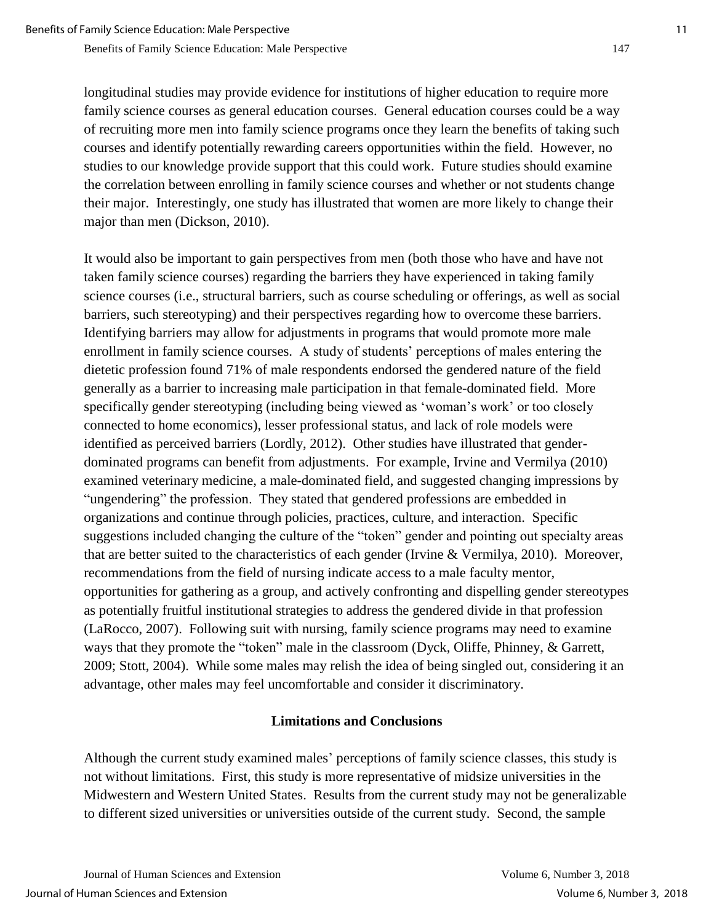longitudinal studies may provide evidence for institutions of higher education to require more family science courses as general education courses. General education courses could be a way of recruiting more men into family science programs once they learn the benefits of taking such courses and identify potentially rewarding careers opportunities within the field. However, no studies to our knowledge provide support that this could work. Future studies should examine

the correlation between enrolling in family science courses and whether or not students change their major. Interestingly, one study has illustrated that women are more likely to change their major than men (Dickson, 2010).

It would also be important to gain perspectives from men (both those who have and have not taken family science courses) regarding the barriers they have experienced in taking family science courses (i.e., structural barriers, such as course scheduling or offerings, as well as social barriers, such stereotyping) and their perspectives regarding how to overcome these barriers. Identifying barriers may allow for adjustments in programs that would promote more male enrollment in family science courses. A study of students' perceptions of males entering the dietetic profession found 71% of male respondents endorsed the gendered nature of the field generally as a barrier to increasing male participation in that female-dominated field. More specifically gender stereotyping (including being viewed as 'woman's work' or too closely connected to home economics), lesser professional status, and lack of role models were identified as perceived barriers (Lordly, 2012). Other studies have illustrated that genderdominated programs can benefit from adjustments. For example, Irvine and Vermilya (2010) examined veterinary medicine, a male-dominated field, and suggested changing impressions by "ungendering" the profession. They stated that gendered professions are embedded in organizations and continue through policies, practices, culture, and interaction. Specific suggestions included changing the culture of the "token" gender and pointing out specialty areas that are better suited to the characteristics of each gender (Irvine & Vermilya, 2010). Moreover, recommendations from the field of nursing indicate access to a male faculty mentor, opportunities for gathering as a group, and actively confronting and dispelling gender stereotypes as potentially fruitful institutional strategies to address the gendered divide in that profession (LaRocco, 2007). Following suit with nursing, family science programs may need to examine ways that they promote the "token" male in the classroom (Dyck, Oliffe, Phinney, & Garrett, 2009; Stott, 2004). While some males may relish the idea of being singled out, considering it an advantage, other males may feel uncomfortable and consider it discriminatory.

# **Limitations and Conclusions**

Although the current study examined males' perceptions of family science classes, this study is not without limitations. First, this study is more representative of midsize universities in the Midwestern and Western United States. Results from the current study may not be generalizable to different sized universities or universities outside of the current study. Second, the sample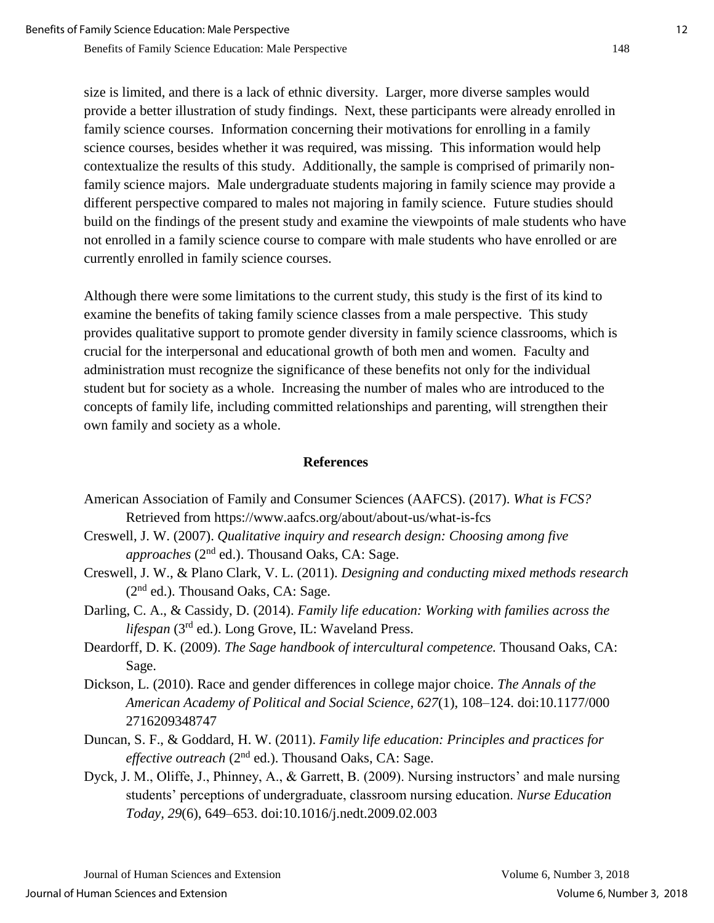size is limited, and there is a lack of ethnic diversity. Larger, more diverse samples would provide a better illustration of study findings. Next, these participants were already enrolled in family science courses. Information concerning their motivations for enrolling in a family science courses, besides whether it was required, was missing. This information would help contextualize the results of this study. Additionally, the sample is comprised of primarily nonfamily science majors. Male undergraduate students majoring in family science may provide a different perspective compared to males not majoring in family science. Future studies should build on the findings of the present study and examine the viewpoints of male students who have not enrolled in a family science course to compare with male students who have enrolled or are currently enrolled in family science courses.

Although there were some limitations to the current study, this study is the first of its kind to examine the benefits of taking family science classes from a male perspective. This study provides qualitative support to promote gender diversity in family science classrooms, which is crucial for the interpersonal and educational growth of both men and women. Faculty and administration must recognize the significance of these benefits not only for the individual student but for society as a whole. Increasing the number of males who are introduced to the concepts of family life, including committed relationships and parenting, will strengthen their own family and society as a whole.

#### **References**

- American Association of Family and Consumer Sciences (AAFCS). (2017). *What is FCS?* Retrieved from https://www.aafcs.org/about/about-us/what-is-fcs
- Creswell, J. W. (2007). *Qualitative inquiry and research design: Choosing among five approaches* (2nd ed.). Thousand Oaks, CA: Sage.
- Creswell, J. W., & Plano Clark, V. L. (2011). *Designing and conducting mixed methods research*  $(2<sup>nd</sup>$  ed.). Thousand Oaks, CA: Sage.
- Darling, C. A., & Cassidy, D. (2014). *Family life education: Working with families across the lifespan* (3rd ed.). Long Grove, IL: Waveland Press.
- Deardorff, D. K. (2009). *The Sage handbook of intercultural competence.* Thousand Oaks, CA: Sage.
- Dickson, L. (2010). Race and gender differences in college major choice. *The Annals of the American Academy of Political and Social Science, 627*(1), 108–124. doi:10.1177/000 2716209348747
- Duncan, S. F., & Goddard, H. W. (2011). *Family life education: Principles and practices for effective outreach* (2<sup>nd</sup> ed.). Thousand Oaks, CA: Sage.
- Dyck, J. M., Oliffe, J., Phinney, A., & Garrett, B. (2009). Nursing instructors' and male nursing students' perceptions of undergraduate, classroom nursing education. *Nurse Education Today, 29*(6), 649–653. doi:10.1016/j.nedt.2009.02.003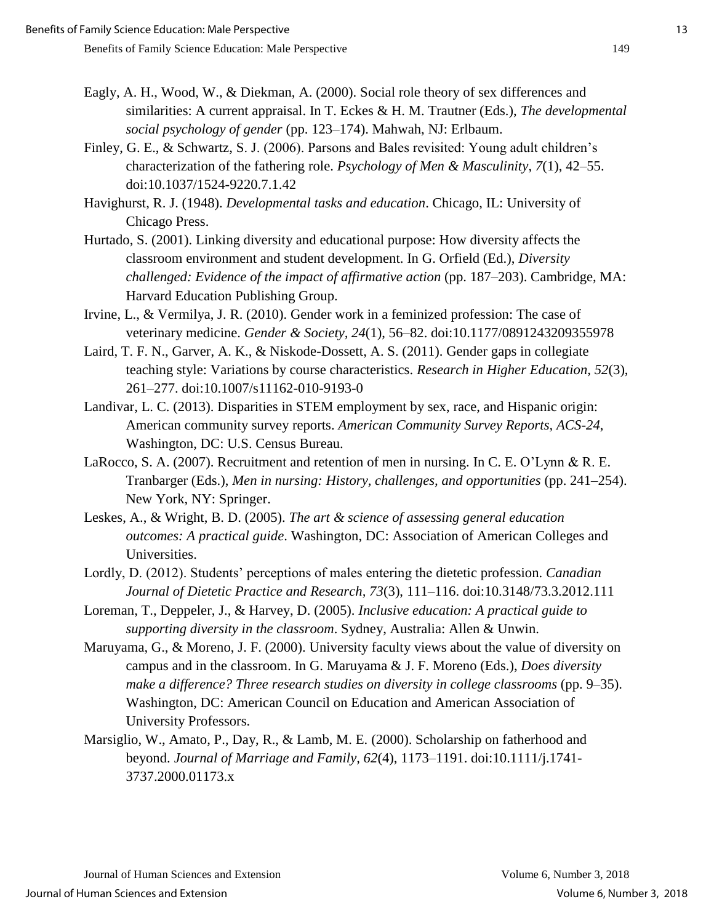- Eagly, A. H., Wood, W., & Diekman, A. (2000). Social role theory of sex differences and similarities: A current appraisal. In T. Eckes & H. M. Trautner (Eds.), *The developmental social psychology of gender* (pp. 123–174). Mahwah, NJ: Erlbaum.
- Finley, G. E., & Schwartz, S. J. (2006). Parsons and Bales revisited: Young adult children's characterization of the fathering role. *Psychology of Men & Masculinity*, *7*(1), 42–55. doi:10.1037/1524-9220.7.1.42

Havighurst, R. J. (1948). *Developmental tasks and education*. Chicago, IL: University of Chicago Press.

- Hurtado, S. (2001). Linking diversity and educational purpose: How diversity affects the classroom environment and student development. In G. Orfield (Ed.), *Diversity challenged: Evidence of the impact of affirmative action* (pp. 187–203). Cambridge, MA: Harvard Education Publishing Group.
- Irvine, L., & Vermilya, J. R. (2010). Gender work in a feminized profession: The case of veterinary medicine. *Gender & Society, 24*(1), 56–82. doi:10.1177/0891243209355978
- Laird, T. F. N., Garver, A. K., & Niskode-Dossett, A. S. (2011). Gender gaps in collegiate teaching style: Variations by course characteristics. *Research in Higher Education, 52*(3), 261–277. doi:10.1007/s11162-010-9193-0
- Landivar, L. C. (2013). Disparities in STEM employment by sex, race, and Hispanic origin: American community survey reports. *American Community Survey Reports, ACS-24*, Washington, DC: U.S. Census Bureau.
- LaRocco, S. A. (2007). Recruitment and retention of men in nursing. In C. E. O'Lynn & R. E. Tranbarger (Eds.), *Men in nursing: History, challenges, and opportunities* (pp. 241–254). New York, NY: Springer.
- Leskes, A., & Wright, B. D. (2005). *The art & science of assessing general education outcomes: A practical guide*. Washington, DC: Association of American Colleges and Universities.
- Lordly, D. (2012). Students' perceptions of males entering the dietetic profession. *Canadian Journal of Dietetic Practice and Research, 73*(3), 111–116. doi:10.3148/73.3.2012.111
- Loreman, T., Deppeler, J., & Harvey, D. (2005). *Inclusive education: A practical guide to supporting diversity in the classroom*. Sydney, Australia: Allen & Unwin.
- Maruyama, G., & Moreno, J. F. (2000). University faculty views about the value of diversity on campus and in the classroom. In G. Maruyama & J. F. Moreno (Eds.), *Does diversity make a difference? Three research studies on diversity in college classrooms* (pp. 9–35). Washington, DC: American Council on Education and American Association of University Professors.
- Marsiglio, W., Amato, P., Day, R., & Lamb, M. E. (2000). Scholarship on fatherhood and beyond. *Journal of Marriage and Family, 62*(4), 1173–1191. doi:10.1111/j.1741- 3737.2000.01173.x